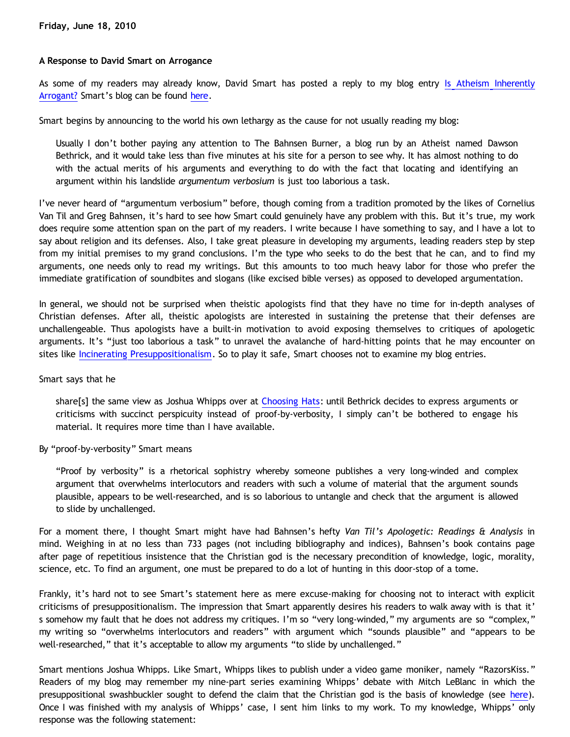# **A Response to David Smart on Arrogance**

As some of my readers may already know, David Smart has posted a reply to my blog entry [Is Atheism Inherently](http://bahnsenburner.blogspot.com/2010/06/is-atheism-inherently-arrogant.html) [Arrogant?](http://bahnsenburner.blogspot.com/2010/06/is-atheism-inherently-arrogant.html) Smart's blog can be found [here](http://aristophrenium.com/ryft/arrogance-of-atheism-dawson-bethrick/).

Smart begins by announcing to the world his own lethargy as the cause for not usually reading my blog:

Usually I don't bother paying any attention to The Bahnsen Burner, a blog run by an Atheist named Dawson Bethrick, and it would take less than five minutes at his site for a person to see why. It has almost nothing to do with the actual merits of his arguments and everything to do with the fact that locating and identifying an argument within his landslide *argumentum verbosium* is just too laborious a task.

I've never heard of "argumentum verbosium" before, though coming from a tradition promoted by the likes of Cornelius Van Til and Greg Bahnsen, it's hard to see how Smart could genuinely have any problem with this. But it's true, my work does require some attention span on the part of my readers. I write because I have something to say, and I have a lot to say about religion and its defenses. Also, I take great pleasure in developing my arguments, leading readers step by step from my initial premises to my grand conclusions. I'm the type who seeks to do the best that he can, and to find my arguments, one needs only to read my writings. But this amounts to too much heavy labor for those who prefer the immediate gratification of soundbites and slogans (like excised bible verses) as opposed to developed argumentation.

In general, we should not be surprised when theistic apologists find that they have no time for in-depth analyses of Christian defenses. After all, theistic apologists are interested in sustaining the pretense that their defenses are unchallengeable. Thus apologists have a built-in motivation to avoid exposing themselves to critiques of apologetic arguments. It's "just too laborious a task" to unravel the avalanche of hard-hitting points that he may encounter on sites like [Incinerating Presuppositionalism](http://bahnsenburner.blogspot.com/). So to play it safe, Smart chooses not to examine my blog entries.

#### Smart says that he

share[s] the same view as Joshua Whipps over at [Choosing Hats](http://www.choosinghats.com/): until Bethrick decides to express arguments or criticisms with succinct perspicuity instead of proof-by-verbosity, I simply can't be bothered to engage his material. It requires more time than I have available.

#### By "proof-by-verbosity" Smart means

"Proof by verbosity" is a rhetorical sophistry whereby someone publishes a very long-winded and complex argument that overwhelms interlocutors and readers with such a volume of material that the argument sounds plausible, appears to be well-researched, and is so laborious to untangle and check that the argument is allowed to slide by unchallenged.

For a moment there, I thought Smart might have had Bahnsen's hefty *Van Til's Apologetic: Readings & Analysis* in mind. Weighing in at no less than 733 pages (not including bibliography and indices), Bahnsen's book contains page after page of repetitious insistence that the Christian god is the necessary precondition of knowledge, logic, morality, science, etc. To find an argument, one must be prepared to do a lot of hunting in this door-stop of a tome.

Frankly, it's hard not to see Smart's statement here as mere excuse-making for choosing not to interact with explicit criticisms of presuppositionalism. The impression that Smart apparently desires his readers to walk away with is that it' s somehow my fault that he does not address my critiques. I'm so "very long-winded," my arguments are so "complex," my writing so "overwhelms interlocutors and readers" with argument which "sounds plausible" and "appears to be well-researched," that it's acceptable to allow my arguments "to slide by unchallenged."

Smart mentions Joshua Whipps. Like Smart, Whipps likes to publish under a video game moniker, namely "RazorsKiss." Readers of my blog may remember my nine-part series examining Whipps' debate with Mitch LeBlanc in which the presuppositional swashbuckler sought to defend the claim that the Christian god is the basis of knowledge (see [here\)](http://katholon.com/RK.htm). Once I was finished with my analysis of Whipps' case, I sent him links to my work. To my knowledge, Whipps' only response was the following statement: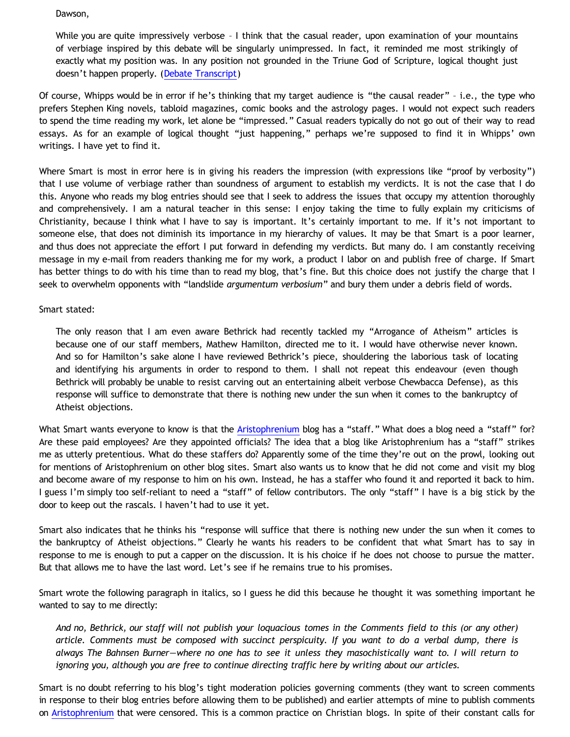Dawson,

While you are quite impressively verbose - I think that the casual reader, upon examination of your mountains of verbiage inspired by this debate will be singularly unimpressed. In fact, it reminded me most strikingly of exactly what my position was. In any position not grounded in the Triune God of Scripture, logical thought just doesn't happen properly. ([Debate Transcript](http://razorskiss.net/2009/08/08/debate-transcript/))

Of course, Whipps would be in error if he's thinking that my target audience is "the causal reader" – i.e., the type who prefers Stephen King novels, tabloid magazines, comic books and the astrology pages. I would not expect such readers to spend the time reading my work, let alone be "impressed." Casual readers typically do not go out of their way to read essays. As for an example of logical thought "just happening," perhaps we're supposed to find it in Whipps' own writings. I have yet to find it.

Where Smart is most in error here is in giving his readers the impression (with expressions like "proof by verbosity") that I use volume of verbiage rather than soundness of argument to establish my verdicts. It is not the case that I do this. Anyone who reads my blog entries should see that I seek to address the issues that occupy my attention thoroughly and comprehensively. I am a natural teacher in this sense: I enjoy taking the time to fully explain my criticisms of Christianity, because I think what I have to say is important. It's certainly important to me. If it's not important to someone else, that does not diminish its importance in my hierarchy of values. It may be that Smart is a poor learner, and thus does not appreciate the effort I put forward in defending my verdicts. But many do. I am constantly receiving message in my e-mail from readers thanking me for my work, a product I labor on and publish free of charge. If Smart has better things to do with his time than to read my blog, that's fine. But this choice does not justify the charge that I seek to overwhelm opponents with "landslide *argumentum verbosium*" and bury them under a debris field of words.

## Smart stated:

The only reason that I am even aware Bethrick had recently tackled my "Arrogance of Atheism" articles is because one of our staff members, Mathew Hamilton, directed me to it. I would have otherwise never known. And so for Hamilton's sake alone I have reviewed Bethrick's piece, shouldering the laborious task of locating and identifying his arguments in order to respond to them. I shall not repeat this endeavour (even though Bethrick will probably be unable to resist carving out an entertaining albeit verbose Chewbacca Defense), as this response will suffice to demonstrate that there is nothing new under the sun when it comes to the bankruptcy of Atheist objections.

What Smart wants everyone to know is that the [Aristophrenium](http://aristophrenium.com/) blog has a "staff." What does a blog need a "staff" for? Are these paid employees? Are they appointed officials? The idea that a blog like Aristophrenium has a "staff" strikes me as utterly pretentious. What do these staffers do? Apparently some of the time they're out on the prowl, looking out for mentions of Aristophrenium on other blog sites. Smart also wants us to know that he did not come and visit my blog and become aware of my response to him on his own. Instead, he has a staffer who found it and reported it back to him. I guess I'm simply too self-reliant to need a "staff" of fellow contributors. The only "staff" I have is a big stick by the door to keep out the rascals. I haven't had to use it yet.

Smart also indicates that he thinks his "response will suffice that there is nothing new under the sun when it comes to the bankruptcy of Atheist objections." Clearly he wants his readers to be confident that what Smart has to say in response to me is enough to put a capper on the discussion. It is his choice if he does not choose to pursue the matter. But that allows me to have the last word. Let's see if he remains true to his promises.

Smart wrote the following paragraph in italics, so I guess he did this because he thought it was something important he wanted to say to me directly:

*And no, Bethrick, our staff will not publish your loquacious tomes in the Comments field to this (or any other) article. Comments must be composed with succinct perspicuity. If you want to do a verbal dump, there is always The Bahnsen Burner—where no one has to see it unless they masochistically want to. I will return to ignoring you, although you are free to continue directing traffic here by writing about our articles.*

Smart is no doubt referring to his blog's tight moderation policies governing comments (they want to screen comments in response to their blog entries before allowing them to be published) and earlier attempts of mine to publish comments on [Aristophrenium](http://aristophrenium.com/) that were censored. This is a common practice on Christian blogs. In spite of their constant calls for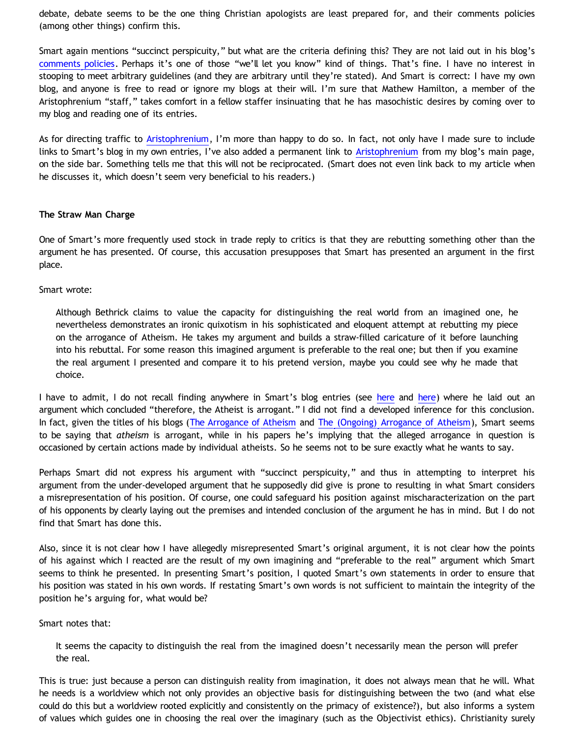debate, debate seems to be the one thing Christian apologists are least prepared for, and their comments policies (among other things) confirm this.

Smart again mentions "succinct perspicuity," but what are the criteria defining this? They are not laid out in his blog's [comments policies.](http://aristophrenium.com/about/comments-policies/) Perhaps it's one of those "we'll let you know" kind of things. That's fine. I have no interest in stooping to meet arbitrary guidelines (and they are arbitrary until they're stated). And Smart is correct: I have my own blog, and anyone is free to read or ignore my blogs at their will. I'm sure that Mathew Hamilton, a member of the Aristophrenium "staff," takes comfort in a fellow staffer insinuating that he has masochistic desires by coming over to my blog and reading one of its entries.

As for directing traffic to [Aristophrenium](http://aristophrenium.com/), I'm more than happy to do so. In fact, not only have I made sure to include links to Smart's blog in my own entries, I've also added a permanent link to [Aristophrenium](http://aristophrenium.com/) from my blog's main page, on the side bar. Something tells me that this will not be reciprocated. (Smart does not even link back to my article when he discusses it, which doesn't seem very beneficial to his readers.)

## **The Straw Man Charge**

One of Smart's more frequently used stock in trade reply to critics is that they are rebutting something other than the argument he has presented. Of course, this accusation presupposes that Smart has presented an argument in the first place.

Smart wrote:

Although Bethrick claims to value the capacity for distinguishing the real world from an imagined one, he nevertheless demonstrates an ironic quixotism in his sophisticated and eloquent attempt at rebutting my piece on the arrogance of Atheism. He takes my argument and builds a straw-filled caricature of it before launching into his rebuttal. For some reason this imagined argument is preferable to the real one; but then if you examine the real argument I presented and compare it to his pretend version, maybe you could see why he made that choice.

I have to admit, I do not recall finding anyw[here](http://aristophrenium.com/ryft/the-ongoing-arrogance-of-atheism/) in Smart's blog entries (see here and [here\)](http://aristophrenium.com/ryft/the-arrogance-of-atheism/) where he laid out an argument which concluded "therefore, the Atheist is arrogant." I did not find a developed inference for this conclusion. In fact, given the titles of his blogs ([The Arrogance of Atheism](http://aristophrenium.com/ryft/the-arrogance-of-atheism/) and [The \(Ongoing\) Arrogance of Atheism](http://aristophrenium.com/ryft/the-ongoing-arrogance-of-atheism/)), Smart seems to be saying that *atheism* is arrogant, while in his papers he's implying that the alleged arrogance in question is occasioned by certain actions made by individual atheists. So he seems not to be sure exactly what he wants to say.

Perhaps Smart did not express his argument with "succinct perspicuity," and thus in attempting to interpret his argument from the under-developed argument that he supposedly did give is prone to resulting in what Smart considers a misrepresentation of his position. Of course, one could safeguard his position against mischaracterization on the part of his opponents by clearly laying out the premises and intended conclusion of the argument he has in mind. But I do not find that Smart has done this.

Also, since it is not clear how I have allegedly misrepresented Smart's original argument, it is not clear how the points of his against which I reacted are the result of my own imagining and "preferable to the real" argument which Smart seems to think he presented. In presenting Smart's position, I quoted Smart's own statements in order to ensure that his position was stated in his own words. If restating Smart's own words is not sufficient to maintain the integrity of the position he's arguing for, what would be?

Smart notes that:

It seems the capacity to distinguish the real from the imagined doesn't necessarily mean the person will prefer the real.

This is true: just because a person can distinguish reality from imagination, it does not always mean that he will. What he needs is a worldview which not only provides an objective basis for distinguishing between the two (and what else could do this but a worldview rooted explicitly and consistently on the primacy of existence?), but also informs a system of values which guides one in choosing the real over the imaginary (such as the Objectivist ethics). Christianity surely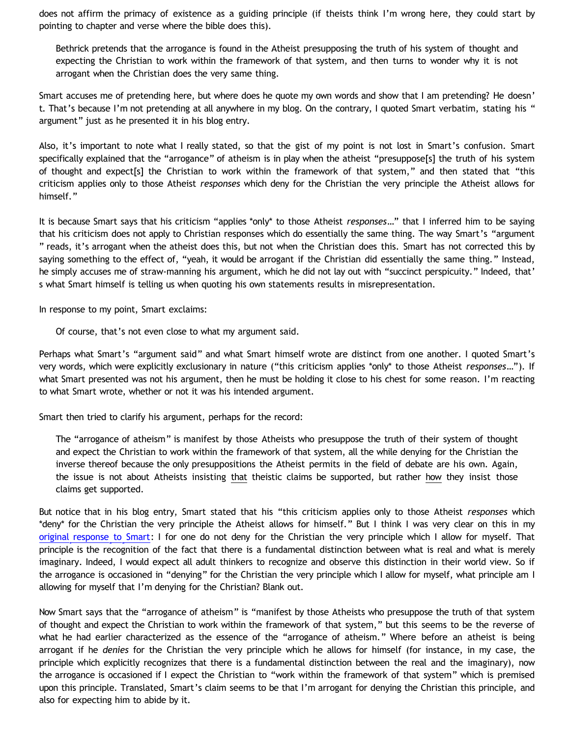does not affirm the primacy of existence as a guiding principle (if theists think I'm wrong here, they could start by pointing to chapter and verse where the bible does this).

Bethrick pretends that the arrogance is found in the Atheist presupposing the truth of his system of thought and expecting the Christian to work within the framework of that system, and then turns to wonder why it is not arrogant when the Christian does the very same thing.

Smart accuses me of pretending here, but where does he quote my own words and show that I am pretending? He doesn' t. That's because I'm not pretending at all anywhere in my blog. On the contrary, I quoted Smart verbatim, stating his " argument" just as he presented it in his blog entry.

Also, it's important to note what I really stated, so that the gist of my point is not lost in Smart's confusion. Smart specifically explained that the "arrogance" of atheism is in play when the atheist "presuppose[s] the truth of his system of thought and expect[s] the Christian to work within the framework of that system," and then stated that "this criticism applies only to those Atheist *responses* which deny for the Christian the very principle the Atheist allows for himself."

It is because Smart says that his criticism "applies \*only\* to those Atheist *responses*…" that I inferred him to be saying that his criticism does not apply to Christian responses which do essentially the same thing. The way Smart's "argument " reads, it's arrogant when the atheist does this, but not when the Christian does this. Smart has not corrected this by saying something to the effect of, "yeah, it would be arrogant if the Christian did essentially the same thing." Instead, he simply accuses me of straw-manning his argument, which he did not lay out with "succinct perspicuity." Indeed, that' s what Smart himself is telling us when quoting his own statements results in misrepresentation.

In response to my point, Smart exclaims:

Of course, that's not even close to what my argument said.

Perhaps what Smart's "argument said" and what Smart himself wrote are distinct from one another. I quoted Smart's very words, which were explicitly exclusionary in nature ("this criticism applies \*only\* to those Atheist *responses*…"). If what Smart presented was not his argument, then he must be holding it close to his chest for some reason. I'm reacting to what Smart wrote, whether or not it was his intended argument.

Smart then tried to clarify his argument, perhaps for the record:

The "arrogance of atheism" is manifest by those Atheists who presuppose the truth of their system of thought and expect the Christian to work within the framework of that system, all the while denying for the Christian the inverse thereof because the only presuppositions the Atheist permits in the field of debate are his own. Again, the issue is not about Atheists insisting that theistic claims be supported, but rather how they insist those claims get supported.

But notice that in his blog entry, Smart stated that his "this criticism applies only to those Atheist *responses* which \*deny\* for the Christian the very principle the Atheist allows for himself." But I think I was very clear on this in my [original response to Smart](http://bahnsenburner.blogspot.com/2010/06/is-atheism-inherently-arrogant.html): I for one do not deny for the Christian the very principle which I allow for myself. That principle is the recognition of the fact that there is a fundamental distinction between what is real and what is merely imaginary. Indeed, I would expect all adult thinkers to recognize and observe this distinction in their world view. So if the arrogance is occasioned in "denying" for the Christian the very principle which I allow for myself, what principle am I allowing for myself that I'm denying for the Christian? Blank out.

Now Smart says that the "arrogance of atheism" is "manifest by those Atheists who presuppose the truth of that system of thought and expect the Christian to work within the framework of that system," but this seems to be the reverse of what he had earlier characterized as the essence of the "arrogance of atheism." Where before an atheist is being arrogant if he *denies* for the Christian the very principle which he allows for himself (for instance, in my case, the principle which explicitly recognizes that there is a fundamental distinction between the real and the imaginary), now the arrogance is occasioned if I expect the Christian to "work within the framework of that system" which is premised upon this principle. Translated, Smart's claim seems to be that I'm arrogant for denying the Christian this principle, and also for expecting him to abide by it.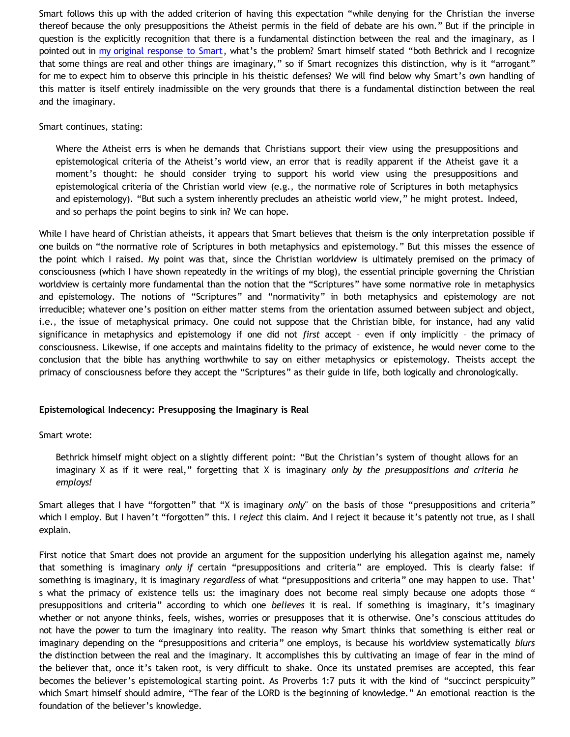Smart follows this up with the added criterion of having this expectation "while denying for the Christian the inverse thereof because the only presuppositions the Atheist permis in the field of debate are his own." But if the principle in question is the explicitly recognition that there is a fundamental distinction between the real and the imaginary, as I pointed out in [my original response to Smart](http://bahnsenburner.blogspot.com/2010/06/is-atheism-inherently-arrogant.html), what's the problem? Smart himself stated "both Bethrick and I recognize that some things are real and other things are imaginary," so if Smart recognizes this distinction, why is it "arrogant" for me to expect him to observe this principle in his theistic defenses? We will find below why Smart's own handling of this matter is itself entirely inadmissible on the very grounds that there is a fundamental distinction between the real and the imaginary.

## Smart continues, stating:

Where the Atheist errs is when he demands that Christians support their view using the presuppositions and epistemological criteria of the Atheist's world view, an error that is readily apparent if the Atheist gave it a moment's thought: he should consider trying to support his world view using the presuppositions and epistemological criteria of the Christian world view (e.g., the normative role of Scriptures in both metaphysics and epistemology). "But such a system inherently precludes an atheistic world view," he might protest. Indeed, and so perhaps the point begins to sink in? We can hope.

While I have heard of Christian atheists, it appears that Smart believes that theism is the only interpretation possible if one builds on "the normative role of Scriptures in both metaphysics and epistemology." But this misses the essence of the point which I raised. My point was that, since the Christian worldview is ultimately premised on the primacy of consciousness (which I have shown repeatedly in the writings of my blog), the essential principle governing the Christian worldview is certainly more fundamental than the notion that the "Scriptures" have some normative role in metaphysics and epistemology. The notions of "Scriptures" and "normativity" in both metaphysics and epistemology are not irreducible; whatever one's position on either matter stems from the orientation assumed between subject and object, i.e., the issue of metaphysical primacy. One could not suppose that the Christian bible, for instance, had any valid significance in metaphysics and epistemology if one did not *first* accept – even if only implicitly – the primacy of consciousness. Likewise, if one accepts and maintains fidelity to the primacy of existence, he would never come to the conclusion that the bible has anything worthwhile to say on either metaphysics or epistemology. Theists accept the primacy of consciousness before they accept the "Scriptures" as their guide in life, both logically and chronologically.

# **Epistemological Indecency: Presupposing the Imaginary is Real**

# Smart wrote:

Bethrick himself might object on a slightly different point: "But the Christian's system of thought allows for an imaginary X as if it were real," forgetting that X is imaginary *only by the presuppositions and criteria he employs!*

Smart alleges that I have "forgotten" that "X is imaginary *only*" on the basis of those "presuppositions and criteria" which I employ. But I haven't "forgotten" this. I *reject* this claim. And I reject it because it's patently not true, as I shall explain.

First notice that Smart does not provide an argument for the supposition underlying his allegation against me, namely that something is imaginary *only if* certain "presuppositions and criteria" are employed. This is clearly false: if something is imaginary, it is imaginary *regardless* of what "presuppositions and criteria" one may happen to use. That' s what the primacy of existence tells us: the imaginary does not become real simply because one adopts those " presuppositions and criteria" according to which one *believes* it is real. If something is imaginary, it's imaginary whether or not anyone thinks, feels, wishes, worries or presupposes that it is otherwise. One's conscious attitudes do not have the power to turn the imaginary into reality. The reason why Smart thinks that something is either real or imaginary depending on the "presuppositions and criteria" one employs, is because his worldview systematically *blurs* the distinction between the real and the imaginary. It accomplishes this by cultivating an image of fear in the mind of the believer that, once it's taken root, is very difficult to shake. Once its unstated premises are accepted, this fear becomes the believer's epistemological starting point. As Proverbs 1:7 puts it with the kind of "succinct perspicuity" which Smart himself should admire, "The fear of the LORD is the beginning of knowledge." An emotional reaction is the foundation of the believer's knowledge.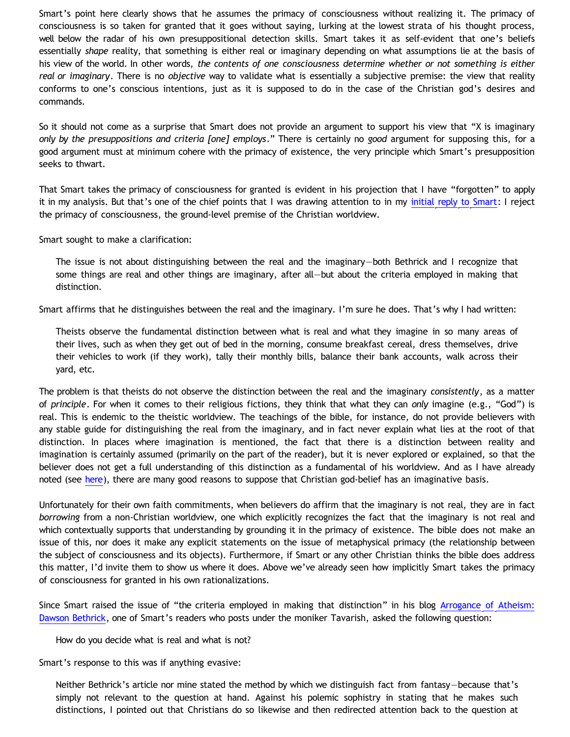Smart's point here clearly shows that he assumes the primacy of consciousness without realizing it. The primacy of consciousness is so taken for granted that it goes without saying, lurking at the lowest strata of his thought process, well below the radar of his own presuppositional detection skills. Smart takes it as self-evident that one's beliefs essentially *shape* reality, that something is either real or imaginary depending on what assumptions lie at the basis of his view of the world. In other words, *the contents of one consciousness determine whether or not something is either real or imaginary*. There is no *objective* way to validate what is essentially a subjective premise: the view that reality conforms to one's conscious intentions, just as it is supposed to do in the case of the Christian god's desires and commands.

So it should not come as a surprise that Smart does not provide an argument to support his view that "X is imaginary *only by the presuppositions and criteria [one] employs*." There is certainly no *good* argument for supposing this, for a good argument must at minimum cohere with the primacy of existence, the very principle which Smart's presupposition seeks to thwart.

That Smart takes the primacy of consciousness for granted is evident in his projection that I have "forgotten" to apply it in my analysis. But that's one of the chief points that I was drawing attention to in my [initial reply to Smart:](http://bahnsenburner.blogspot.com/2010/06/is-atheism-inherently-arrogant.html) I reject the primacy of consciousness, the ground-level premise of the Christian worldview.

Smart sought to make a clarification:

The issue is not about distinguishing between the real and the imaginary—both Bethrick and I recognize that some things are real and other things are imaginary, after all—but about the criteria employed in making that distinction.

Smart affirms that he distinguishes between the real and the imaginary. I'm sure he does. That's why I had written:

Theists observe the fundamental distinction between what is real and what they imagine in so many areas of their lives, such as when they get out of bed in the morning, consume breakfast cereal, dress themselves, drive their vehicles to work (if they work), tally their monthly bills, balance their bank accounts, walk across their yard, etc.

The problem is that theists do not observe the distinction between the real and the imaginary *consistently*, as a matter of *principle*. For when it comes to their religious fictions, they think that what they can *only* imagine (e.g., "God") is real. This is endemic to the theistic worldview. The teachings of the bible, for instance, do not provide believers with any stable guide for distinguishing the real from the imaginary, and in fact never explain what lies at the root of that distinction. In places where imagination is mentioned, the fact that there is a distinction between reality and imagination is certainly assumed (primarily on the part of the reader), but it is never explored or explained, so that the believer does not get a full understanding of this distinction as a fundamental of his worldview. And as I have already noted (see [here](http://bahnsenburner.blogspot.com/2010/05/imaginative-nature-of-christian-theism.html)), there are many good reasons to suppose that Christian god-belief has an imaginative basis.

Unfortunately for their own faith commitments, when believers do affirm that the imaginary is not real, they are in fact *borrowing* from a non-Christian worldview, one which explicitly recognizes the fact that the imaginary is not real and which contextually supports that understanding by grounding it in the primacy of existence. The bible does not make an issue of this, nor does it make any explicit statements on the issue of metaphysical primacy (the relationship between the subject of consciousness and its objects). Furthermore, if Smart or any other Christian thinks the bible does address this matter, I'd invite them to show us where it does. Above we've already seen how implicitly Smart takes the primacy of consciousness for granted in his own rationalizations.

Since Smart raised the issue of "the criteria employed in making that distinction" in his blog [Arrogance of Atheism:](http://aristophrenium.com/ryft/arrogance-of-atheism-dawson-bethrick/) [Dawson Bethrick](http://aristophrenium.com/ryft/arrogance-of-atheism-dawson-bethrick/), one of Smart's readers who posts under the moniker Tavarish, asked the following question:

How do you decide what is real and what is not?

Smart's response to this was if anything evasive:

Neither Bethrick's article nor mine stated the method by which we distinguish fact from fantasy-because that's simply not relevant to the question at hand. Against his polemic sophistry in stating that he makes such distinctions, I pointed out that Christians do so likewise and then redirected attention back to the question at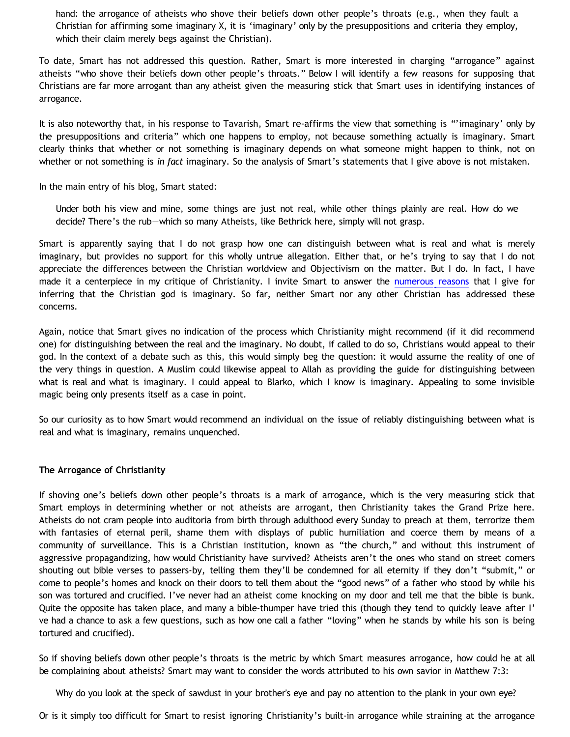hand: the arrogance of atheists who shove their beliefs down other people's throats (e.g., when they fault a Christian for affirming some imaginary X, it is 'imaginary' only by the presuppositions and criteria they employ, which their claim merely begs against the Christian).

To date, Smart has not addressed this question. Rather, Smart is more interested in charging "arrogance" against atheists "who shove their beliefs down other people's throats." Below I will identify a few reasons for supposing that Christians are far more arrogant than any atheist given the measuring stick that Smart uses in identifying instances of arrogance.

It is also noteworthy that, in his response to Tavarish, Smart re-affirms the view that something is "'imaginary' only by the presuppositions and criteria" which one happens to employ, not because something actually is imaginary. Smart clearly thinks that whether or not something is imaginary depends on what someone might happen to think, not on whether or not something is *in fact* imaginary. So the analysis of Smart's statements that I give above is not mistaken.

In the main entry of his blog, Smart stated:

Under both his view and mine, some things are just not real, while other things plainly are real. How do we decide? There's the rub—which so many Atheists, like Bethrick here, simply will not grasp.

Smart is apparently saying that I do not grasp how one can distinguish between what is real and what is merely imaginary, but provides no support for this wholly untrue allegation. Either that, or he's trying to say that I do not appreciate the differences between the Christian worldview and Objectivism on the matter. But I do. In fact, I have made it a centerpiece in my critique of Christianity. I invite Smart to answer the [numerous reasons](http://bahnsenburner.blogspot.com/2010/05/imaginative-nature-of-christian-theism.html) that I give for inferring that the Christian god is imaginary. So far, neither Smart nor any other Christian has addressed these concerns.

Again, notice that Smart gives no indication of the process which Christianity might recommend (if it did recommend one) for distinguishing between the real and the imaginary. No doubt, if called to do so, Christians would appeal to their god. In the context of a debate such as this, this would simply beg the question: it would assume the reality of one of the very things in question. A Muslim could likewise appeal to Allah as providing the guide for distinguishing between what is real and what is imaginary. I could appeal to Blarko, which I know is imaginary. Appealing to some invisible magic being only presents itself as a case in point.

So our curiosity as to how Smart would recommend an individual on the issue of reliably distinguishing between what is real and what is imaginary, remains unquenched.

# **The Arrogance of Christianity**

If shoving one's beliefs down other people's throats is a mark of arrogance, which is the very measuring stick that Smart employs in determining whether or not atheists are arrogant, then Christianity takes the Grand Prize here. Atheists do not cram people into auditoria from birth through adulthood every Sunday to preach at them, terrorize them with fantasies of eternal peril, shame them with displays of public humiliation and coerce them by means of a community of surveillance. This is a Christian institution, known as "the church," and without this instrument of aggressive propagandizing, how would Christianity have survived? Atheists aren't the ones who stand on street corners shouting out bible verses to passers-by, telling them they'll be condemned for all eternity if they don't "submit," or come to people's homes and knock on their doors to tell them about the "good news" of a father who stood by while his son was tortured and crucified. I've never had an atheist come knocking on my door and tell me that the bible is bunk. Quite the opposite has taken place, and many a bible-thumper have tried this (though they tend to quickly leave after I' ve had a chance to ask a few questions, such as how one call a father "loving" when he stands by while his son is being tortured and crucified).

So if shoving beliefs down other people's throats is the metric by which Smart measures arrogance, how could he at all be complaining about atheists? Smart may want to consider the words attributed to his own savior in Matthew 7:3:

Why do you look at the speck of sawdust in your brother's eye and pay no attention to the plank in your own eye?

Or is it simply too difficult for Smart to resist ignoring Christianity's built-in arrogance while straining at the arrogance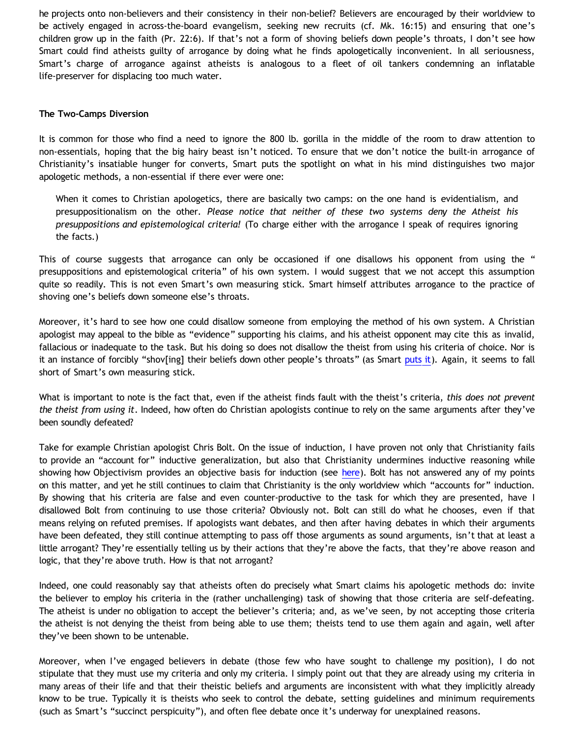he projects onto non-believers and their consistency in their non-belief? Believers are encouraged by their worldview to be actively engaged in across-the-board evangelism, seeking new recruits (cf. Mk. 16:15) and ensuring that one's children grow up in the faith (Pr. 22:6). If that's not a form of shoving beliefs down people's throats, I don't see how Smart could find atheists guilty of arrogance by doing what he finds apologetically inconvenient. In all seriousness, Smart's charge of arrogance against atheists is analogous to a fleet of oil tankers condemning an inflatable life-preserver for displacing too much water.

## **The Two-Camps Diversion**

It is common for those who find a need to ignore the 800 lb. gorilla in the middle of the room to draw attention to non-essentials, hoping that the big hairy beast isn't noticed. To ensure that we don't notice the built-in arrogance of Christianity's insatiable hunger for converts, Smart puts the spotlight on what in his mind distinguishes two major apologetic methods, a non-essential if there ever were one:

When it comes to Christian apologetics, there are basically two camps: on the one hand is evidentialism, and presuppositionalism on the other. *Please notice that neither of these two systems deny the Atheist his presuppositions and epistemological criteria!* (To charge either with the arrogance I speak of requires ignoring the facts.)

This of course suggests that arrogance can only be occasioned if one disallows his opponent from using the " presuppositions and epistemological criteria" of his own system. I would suggest that we not accept this assumption quite so readily. This is not even Smart's own measuring stick. Smart himself attributes arrogance to the practice of shoving one's beliefs down someone else's throats.

Moreover, it's hard to see how one could disallow someone from employing the method of his own system. A Christian apologist may appeal to the bible as "evidence" supporting his claims, and his atheist opponent may cite this as invalid, fallacious or inadequate to the task. But his doing so does not disallow the theist from using his criteria of choice. Nor is it an instance of forcibly "shov[ing] their beliefs down other people's throats" (as Smart [puts it\)](http://aristophrenium.com/ryft/the-arrogance-of-atheism/). Again, it seems to fall short of Smart's own measuring stick.

What is important to note is the fact that, even if the atheist finds fault with the theist's criteria, *this does not prevent the theist from using it*. Indeed, how often do Christian apologists continue to rely on the same arguments after they've been soundly defeated?

Take for example Christian apologist Chris Bolt. On the issue of induction, I have proven not only that Christianity fails to provide an "account for" inductive generalization, but also that Christianity undermines inductive reasoning while showing how Objectivism provides an objective basis for induction (see [here](http://katholon.com/Bolts-Pile-of-Knapp.htm)). Bolt has not answered any of my points on this matter, and yet he still continues to claim that Christianity is the only worldview which "accounts for" induction. By showing that his criteria are false and even counter-productive to the task for which they are presented, have I disallowed Bolt from continuing to use those criteria? Obviously not. Bolt can still do what he chooses, even if that means relying on refuted premises. If apologists want debates, and then after having debates in which their arguments have been defeated, they still continue attempting to pass off those arguments as sound arguments, isn't that at least a little arrogant? They're essentially telling us by their actions that they're above the facts, that they're above reason and logic, that they're above truth. How is that not arrogant?

Indeed, one could reasonably say that atheists often do precisely what Smart claims his apologetic methods do: invite the believer to employ his criteria in the (rather unchallenging) task of showing that those criteria are self-defeating. The atheist is under no obligation to accept the believer's criteria; and, as we've seen, by not accepting those criteria the atheist is not denying the theist from being able to use them; theists tend to use them again and again, well after they've been shown to be untenable.

Moreover, when I've engaged believers in debate (those few who have sought to challenge my position), I do not stipulate that they must use my criteria and only my criteria. I simply point out that they are already using my criteria in many areas of their life and that their theistic beliefs and arguments are inconsistent with what they implicitly already know to be true. Typically it is theists who seek to control the debate, setting guidelines and minimum requirements (such as Smart's "succinct perspicuity"), and often flee debate once it's underway for unexplained reasons.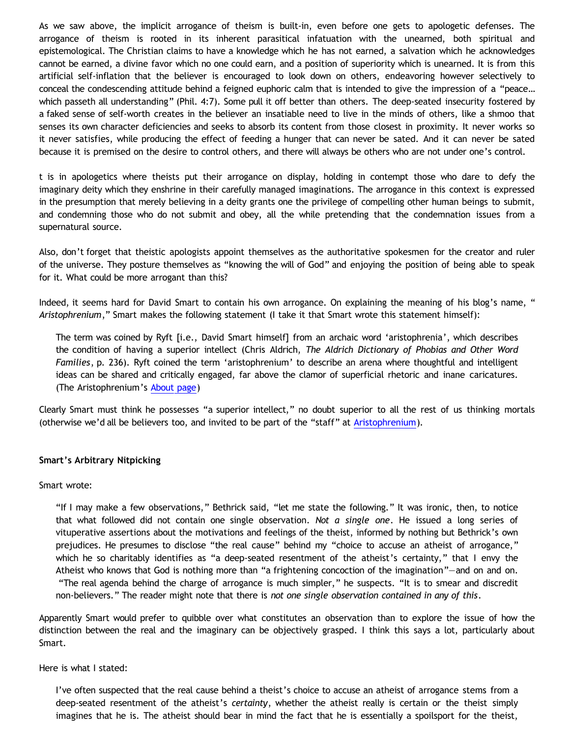As we saw above, the implicit arrogance of theism is built-in, even before one gets to apologetic defenses. The arrogance of theism is rooted in its inherent parasitical infatuation with the unearned, both spiritual and epistemological. The Christian claims to have a knowledge which he has not earned, a salvation which he acknowledges cannot be earned, a divine favor which no one could earn, and a position of superiority which is unearned. It is from this artificial self-inflation that the believer is encouraged to look down on others, endeavoring however selectively to conceal the condescending attitude behind a feigned euphoric calm that is intended to give the impression of a "peace… which passeth all understanding" (Phil. 4:7). Some pull it off better than others. The deep-seated insecurity fostered by a faked sense of self-worth creates in the believer an insatiable need to live in the minds of others, like a shmoo that senses its own character deficiencies and seeks to absorb its content from those closest in proximity. It never works so it never satisfies, while producing the effect of feeding a hunger that can never be sated. And it can never be sated because it is premised on the desire to control others, and there will always be others who are not under one's control.

t is in apologetics where theists put their arrogance on display, holding in contempt those who dare to defy the imaginary deity which they enshrine in their carefully managed imaginations. The arrogance in this context is expressed in the presumption that merely believing in a deity grants one the privilege of compelling other human beings to submit, and condemning those who do not submit and obey, all the while pretending that the condemnation issues from a supernatural source.

Also, don't forget that theistic apologists appoint themselves as the authoritative spokesmen for the creator and ruler of the universe. They posture themselves as "knowing the will of God" and enjoying the position of being able to speak for it. What could be more arrogant than this?

Indeed, it seems hard for David Smart to contain his own arrogance. On explaining the meaning of his blog's name, " *Aristophrenium*," Smart makes the following statement (I take it that Smart wrote this statement himself):

The term was coined by Ryft [i.e., David Smart himself] from an archaic word 'aristophrenia', which describes the condition of having a superior intellect (Chris Aldrich, *The Aldrich Dictionary of Phobias and Other Word Families*, p. 236). Ryft coined the term 'aristophrenium' to describe an arena where thoughtful and intelligent ideas can be shared and critically engaged, far above the clamor of superficial rhetoric and inane caricatures. (The Aristophrenium's [About page\)](http://aristophrenium.com/about/)

Clearly Smart must think he possesses "a superior intellect," no doubt superior to all the rest of us thinking mortals (otherwise we'd all be believers too, and invited to be part of the "staff" at [Aristophrenium\)](http://aristophrenium.com/).

## **Smart's Arbitrary Nitpicking**

#### Smart wrote:

"If I may make a few observations," Bethrick said, "let me state the following." It was ironic, then, to notice that what followed did not contain one single observation. *Not a single one*. He issued a long series of vituperative assertions about the motivations and feelings of the theist, informed by nothing but Bethrick's own prejudices. He presumes to disclose "the real cause" behind my "choice to accuse an atheist of arrogance," which he so charitably identifies as "a deep-seated resentment of the atheist's certainty," that I envy the Atheist who knows that God is nothing more than "a frightening concoction of the imagination"—and on and on. "The real agenda behind the charge of arrogance is much simpler," he suspects. "It is to smear and discredit non-believers." The reader might note that there is *not one single observation contained in any of this*.

Apparently Smart would prefer to quibble over what constitutes an observation than to explore the issue of how the distinction between the real and the imaginary can be objectively grasped. I think this says a lot, particularly about Smart.

Here is what I stated:

I've often suspected that the real cause behind a theist's choice to accuse an atheist of arrogance stems from a deep-seated resentment of the atheist's *certainty*, whether the atheist really is certain or the theist simply imagines that he is. The atheist should bear in mind the fact that he is essentially a spoilsport for the theist,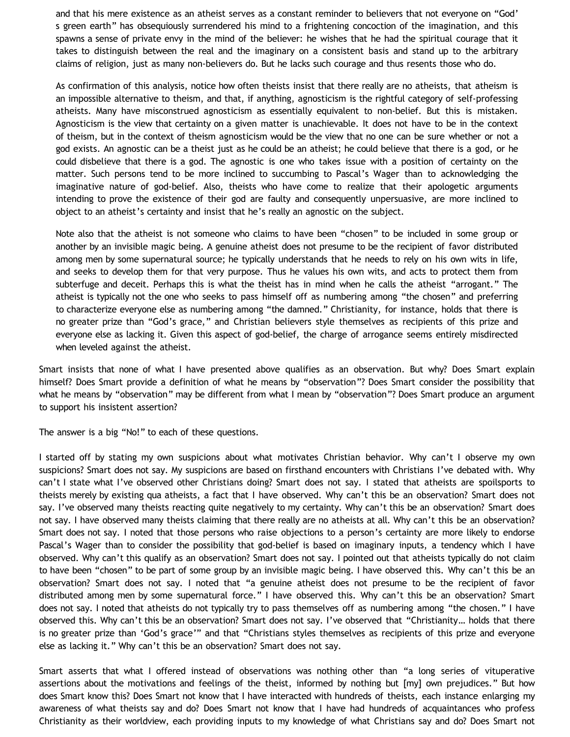and that his mere existence as an atheist serves as a constant reminder to believers that not everyone on "God' s green earth" has obsequiously surrendered his mind to a frightening concoction of the imagination, and this spawns a sense of private envy in the mind of the believer: he wishes that he had the spiritual courage that it takes to distinguish between the real and the imaginary on a consistent basis and stand up to the arbitrary claims of religion, just as many non-believers do. But he lacks such courage and thus resents those who do.

As confirmation of this analysis, notice how often theists insist that there really are no atheists, that atheism is an impossible alternative to theism, and that, if anything, agnosticism is the rightful category of self-professing atheists. Many have misconstrued agnosticism as essentially equivalent to non-belief. But this is mistaken. Agnosticism is the view that certainty on a given matter is unachievable. It does not have to be in the context of theism, but in the context of theism agnosticism would be the view that no one can be sure whether or not a god exists. An agnostic can be a theist just as he could be an atheist; he could believe that there is a god, or he could disbelieve that there is a god. The agnostic is one who takes issue with a position of certainty on the matter. Such persons tend to be more inclined to succumbing to Pascal's Wager than to acknowledging the imaginative nature of god-belief. Also, theists who have come to realize that their apologetic arguments intending to prove the existence of their god are faulty and consequently unpersuasive, are more inclined to object to an atheist's certainty and insist that he's really an agnostic on the subject.

Note also that the atheist is not someone who claims to have been "chosen" to be included in some group or another by an invisible magic being. A genuine atheist does not presume to be the recipient of favor distributed among men by some supernatural source; he typically understands that he needs to rely on his own wits in life, and seeks to develop them for that very purpose. Thus he values his own wits, and acts to protect them from subterfuge and deceit. Perhaps this is what the theist has in mind when he calls the atheist "arrogant." The atheist is typically not the one who seeks to pass himself off as numbering among "the chosen" and preferring to characterize everyone else as numbering among "the damned." Christianity, for instance, holds that there is no greater prize than "God's grace," and Christian believers style themselves as recipients of this prize and everyone else as lacking it. Given this aspect of god-belief, the charge of arrogance seems entirely misdirected when leveled against the atheist.

Smart insists that none of what I have presented above qualifies as an observation. But why? Does Smart explain himself? Does Smart provide a definition of what he means by "observation"? Does Smart consider the possibility that what he means by "observation" may be different from what I mean by "observation"? Does Smart produce an argument to support his insistent assertion?

The answer is a big "No!" to each of these questions.

I started off by stating my own suspicions about what motivates Christian behavior. Why can't I observe my own suspicions? Smart does not say. My suspicions are based on firsthand encounters with Christians I've debated with. Why can't I state what I've observed other Christians doing? Smart does not say. I stated that atheists are spoilsports to theists merely by existing qua atheists, a fact that I have observed. Why can't this be an observation? Smart does not say. I've observed many theists reacting quite negatively to my certainty. Why can't this be an observation? Smart does not say. I have observed many theists claiming that there really are no atheists at all. Why can't this be an observation? Smart does not say. I noted that those persons who raise objections to a person's certainty are more likely to endorse Pascal's Wager than to consider the possibility that god-belief is based on imaginary inputs, a tendency which I have observed. Why can't this qualify as an observation? Smart does not say. I pointed out that atheists typically do not claim to have been "chosen" to be part of some group by an invisible magic being. I have observed this. Why can't this be an observation? Smart does not say. I noted that "a genuine atheist does not presume to be the recipient of favor distributed among men by some supernatural force." I have observed this. Why can't this be an observation? Smart does not say. I noted that atheists do not typically try to pass themselves off as numbering among "the chosen." I have observed this. Why can't this be an observation? Smart does not say. I've observed that "Christianity… holds that there is no greater prize than 'God's grace'" and that "Christians styles themselves as recipients of this prize and everyone else as lacking it." Why can't this be an observation? Smart does not say.

Smart asserts that what I offered instead of observations was nothing other than "a long series of vituperative assertions about the motivations and feelings of the theist, informed by nothing but [my] own prejudices." But how does Smart know this? Does Smart not know that I have interacted with hundreds of theists, each instance enlarging my awareness of what theists say and do? Does Smart not know that I have had hundreds of acquaintances who profess Christianity as their worldview, each providing inputs to my knowledge of what Christians say and do? Does Smart not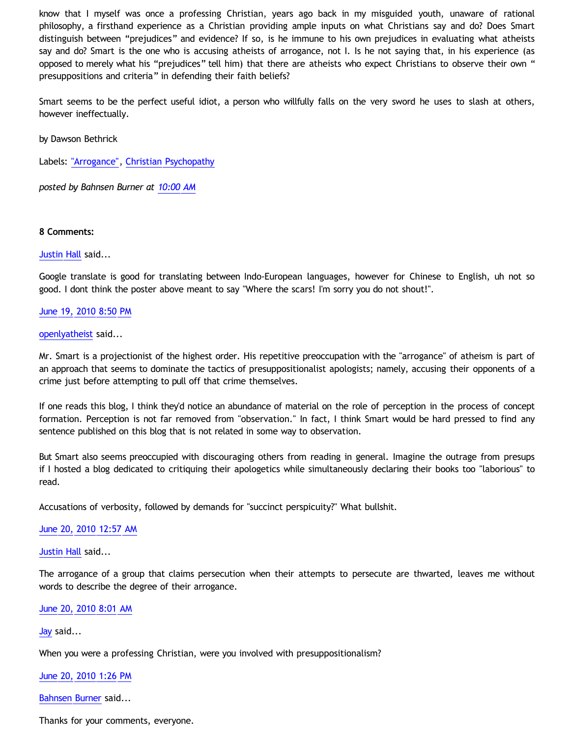know that I myself was once a professing Christian, years ago back in my misguided youth, unaware of rational philosophy, a firsthand experience as a Christian providing ample inputs on what Christians say and do? Does Smart distinguish between "prejudices" and evidence? If so, is he immune to his own prejudices in evaluating what atheists say and do? Smart is the one who is accusing atheists of arrogance, not I. Is he not saying that, in his experience (as opposed to merely what his "prejudices" tell him) that there are atheists who expect Christians to observe their own " presuppositions and criteria" in defending their faith beliefs?

Smart seems to be the perfect useful idiot, a person who willfully falls on the very sword he uses to slash at others, however ineffectually.

by Dawson Bethrick

Labels: ["Arrogance"](http://bahnsenburner.blogspot.com/search/label/%22Arrogance%22), [Christian Psychopathy](http://bahnsenburner.blogspot.com/search/label/Christian%20Psychopathy)

*posted by Bahnsen Burner at [10:00 AM](http://bahnsenburner.blogspot.com/2010/06/response-to-david-smart-on-arrogance.html)*

#### **8 Comments:**

[Justin Hall](http://www.blogger.com/profile/17804641315202800289) said...

Google translate is good for translating between Indo-European languages, however for Chinese to English, uh not so good. I dont think the poster above meant to say "Where the scars! I'm sorry you do not shout!".

#### [June 19, 2010 8:50 PM](http://bahnsenburner.blogspot.com/2010/06/456381674849755092)

#### [openlyatheist](http://www.blogger.com/profile/03799132607816184980) said...

Mr. Smart is a projectionist of the highest order. His repetitive preoccupation with the "arrogance" of atheism is part of an approach that seems to dominate the tactics of presuppositionalist apologists; namely, accusing their opponents of a crime just before attempting to pull off that crime themselves.

If one reads this blog, I think they'd notice an abundance of material on the role of perception in the process of concept formation. Perception is not far removed from "observation." In fact, I think Smart would be hard pressed to find any sentence published on this blog that is not related in some way to observation.

But Smart also seems preoccupied with discouraging others from reading in general. Imagine the outrage from presups if I hosted a blog dedicated to critiquing their apologetics while simultaneously declaring their books too "laborious" to read.

Accusations of verbosity, followed by demands for "succinct perspicuity?" What bullshit.

#### [June 20, 2010 12:57 AM](http://bahnsenburner.blogspot.com/2010/06/279302472101261260)

[Justin Hall](http://www.blogger.com/profile/17804641315202800289) said...

The arrogance of a group that claims persecution when their attempts to persecute are thwarted, leaves me without words to describe the degree of their arrogance.

[June 20, 2010 8:01 AM](http://bahnsenburner.blogspot.com/2010/06/3964596133262594189)

[Jay](http://www.blogger.com/profile/09604208085934821426) said...

When you were a professing Christian, were you involved with presuppositionalism?

#### [June 20, 2010 1:26 PM](http://bahnsenburner.blogspot.com/2010/06/1825669012428870936)

[Bahnsen Burner](http://www.blogger.com/profile/11030029491768748360) said...

Thanks for your comments, everyone.